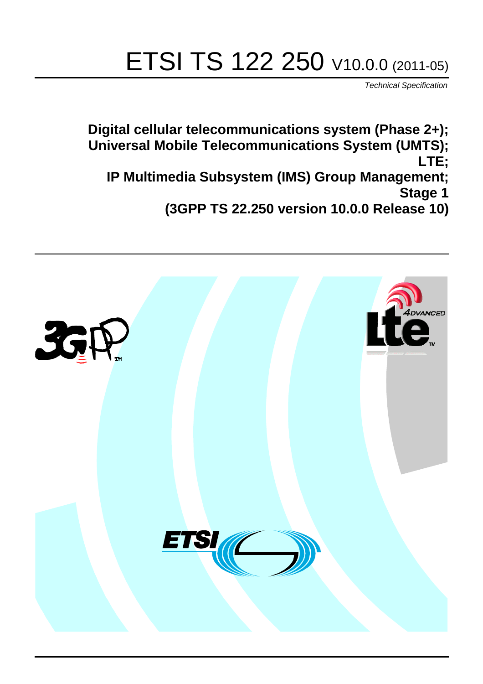# ETSI TS 122 250 V10.0.0 (2011-05)

*Technical Specification*

**Digital cellular telecommunications system (Phase 2+); Universal Mobile Telecommunications System (UMTS); LTE; IP Multimedia Subsystem (IMS) Group Management; Stage 1 (3GPP TS 22.250 version 10.0.0 Release 10)**

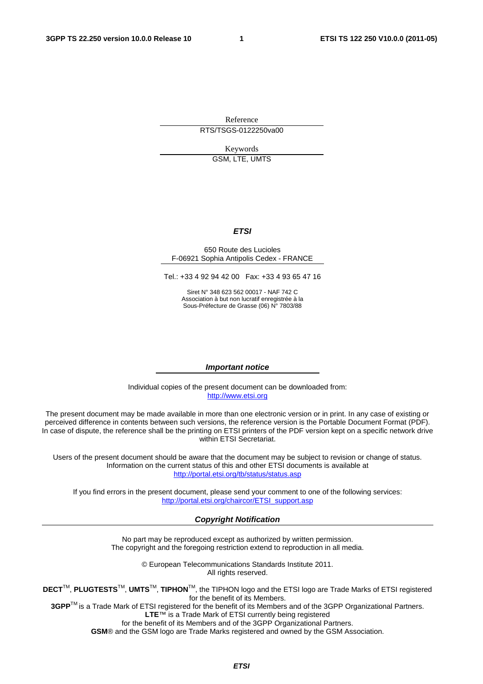Reference RTS/TSGS-0122250va00

> Keywords GSM, LTE, UMTS

#### *ETSI*

#### 650 Route des Lucioles F-06921 Sophia Antipolis Cedex - FRANCE

Tel.: +33 4 92 94 42 00 Fax: +33 4 93 65 47 16

Siret N° 348 623 562 00017 - NAF 742 C Association à but non lucratif enregistrée à la Sous-Préfecture de Grasse (06) N° 7803/88

#### *Important notice*

Individual copies of the present document can be downloaded from: [http://www.etsi.org](http://www.etsi.org/)

The present document may be made available in more than one electronic version or in print. In any case of existing or perceived difference in contents between such versions, the reference version is the Portable Document Format (PDF). In case of dispute, the reference shall be the printing on ETSI printers of the PDF version kept on a specific network drive within ETSI Secretariat.

Users of the present document should be aware that the document may be subject to revision or change of status. Information on the current status of this and other ETSI documents is available at <http://portal.etsi.org/tb/status/status.asp>

If you find errors in the present document, please send your comment to one of the following services: [http://portal.etsi.org/chaircor/ETSI\\_support.asp](http://portal.etsi.org/chaircor/ETSI_support.asp)

#### *Copyright Notification*

No part may be reproduced except as authorized by written permission. The copyright and the foregoing restriction extend to reproduction in all media.

> © European Telecommunications Standards Institute 2011. All rights reserved.

**DECT**TM, **PLUGTESTS**TM, **UMTS**TM, **TIPHON**TM, the TIPHON logo and the ETSI logo are Trade Marks of ETSI registered for the benefit of its Members.

**3GPP**TM is a Trade Mark of ETSI registered for the benefit of its Members and of the 3GPP Organizational Partners. **LTE**™ is a Trade Mark of ETSI currently being registered

for the benefit of its Members and of the 3GPP Organizational Partners.

**GSM**® and the GSM logo are Trade Marks registered and owned by the GSM Association.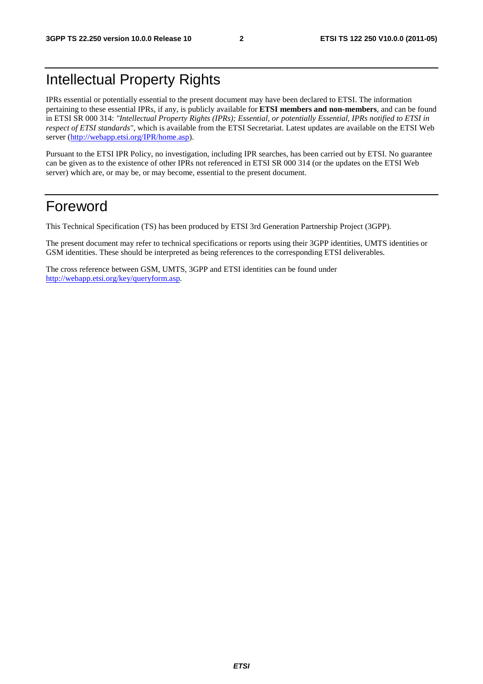# Intellectual Property Rights

IPRs essential or potentially essential to the present document may have been declared to ETSI. The information pertaining to these essential IPRs, if any, is publicly available for **ETSI members and non-members**, and can be found in ETSI SR 000 314: *"Intellectual Property Rights (IPRs); Essential, or potentially Essential, IPRs notified to ETSI in respect of ETSI standards"*, which is available from the ETSI Secretariat. Latest updates are available on the ETSI Web server [\(http://webapp.etsi.org/IPR/home.asp\)](http://webapp.etsi.org/IPR/home.asp).

Pursuant to the ETSI IPR Policy, no investigation, including IPR searches, has been carried out by ETSI. No guarantee can be given as to the existence of other IPRs not referenced in ETSI SR 000 314 (or the updates on the ETSI Web server) which are, or may be, or may become, essential to the present document.

# Foreword

This Technical Specification (TS) has been produced by ETSI 3rd Generation Partnership Project (3GPP).

The present document may refer to technical specifications or reports using their 3GPP identities, UMTS identities or GSM identities. These should be interpreted as being references to the corresponding ETSI deliverables.

The cross reference between GSM, UMTS, 3GPP and ETSI identities can be found under [http://webapp.etsi.org/key/queryform.asp.](http://webapp.etsi.org/key/queryform.asp)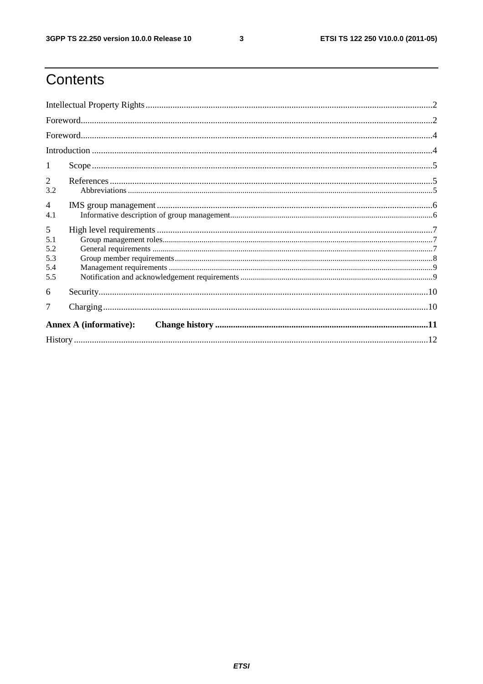$\mathbf{3}$ 

# Contents

| 1                                    |  |  |  |  |  |  |
|--------------------------------------|--|--|--|--|--|--|
| 2<br>3.2                             |  |  |  |  |  |  |
| 4<br>4.1                             |  |  |  |  |  |  |
| 5<br>5.1<br>5.2<br>5.3<br>5.4<br>5.5 |  |  |  |  |  |  |
| 6                                    |  |  |  |  |  |  |
|                                      |  |  |  |  |  |  |
| <b>Annex A (informative):</b>        |  |  |  |  |  |  |
|                                      |  |  |  |  |  |  |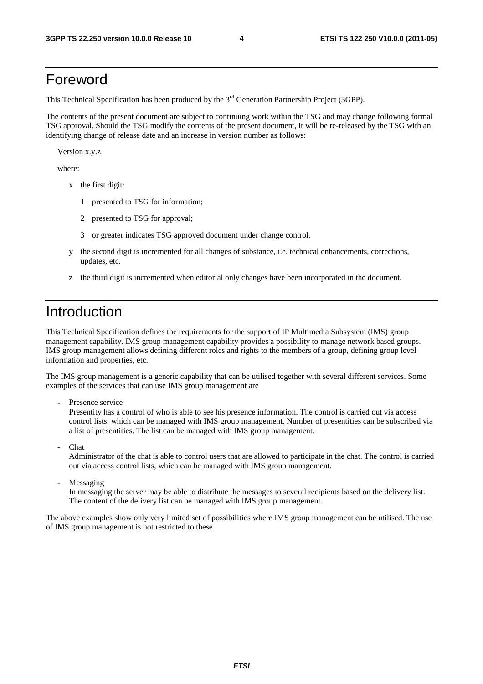# Foreword

This Technical Specification has been produced by the 3<sup>rd</sup> Generation Partnership Project (3GPP).

The contents of the present document are subject to continuing work within the TSG and may change following formal TSG approval. Should the TSG modify the contents of the present document, it will be re-released by the TSG with an identifying change of release date and an increase in version number as follows:

Version x.y.z

where:

- x the first digit:
	- 1 presented to TSG for information;
	- 2 presented to TSG for approval;
	- 3 or greater indicates TSG approved document under change control.
- y the second digit is incremented for all changes of substance, i.e. technical enhancements, corrections, updates, etc.
- z the third digit is incremented when editorial only changes have been incorporated in the document.

# Introduction

This Technical Specification defines the requirements for the support of IP Multimedia Subsystem (IMS) group management capability. IMS group management capability provides a possibility to manage network based groups. IMS group management allows defining different roles and rights to the members of a group, defining group level information and properties, etc.

The IMS group management is a generic capability that can be utilised together with several different services. Some examples of the services that can use IMS group management are

- Presence service

Presentity has a control of who is able to see his presence information. The control is carried out via access control lists, which can be managed with IMS group management. Number of presentities can be subscribed via a list of presentities. The list can be managed with IMS group management.

**Chat** 

Administrator of the chat is able to control users that are allowed to participate in the chat. The control is carried out via access control lists, which can be managed with IMS group management.

Messaging

In messaging the server may be able to distribute the messages to several recipients based on the delivery list. The content of the delivery list can be managed with IMS group management.

The above examples show only very limited set of possibilities where IMS group management can be utilised. The use of IMS group management is not restricted to these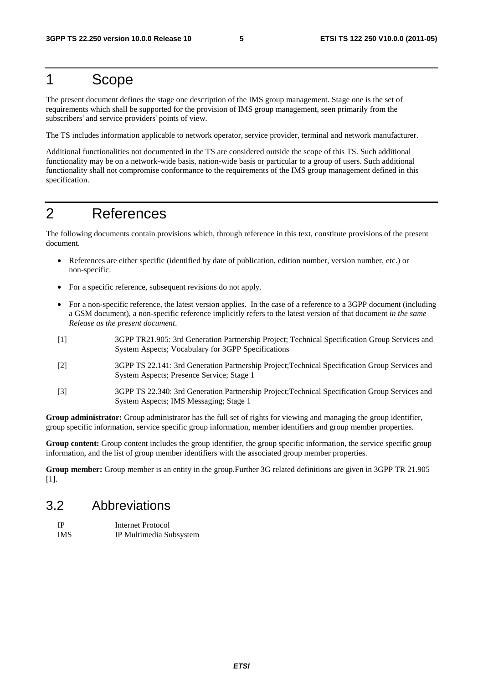# 1 Scope

The present document defines the stage one description of the IMS group management. Stage one is the set of requirements which shall be supported for the provision of IMS group management, seen primarily from the subscribers' and service providers' points of view.

The TS includes information applicable to network operator, service provider, terminal and network manufacturer.

Additional functionalities not documented in the TS are considered outside the scope of this TS. Such additional functionality may be on a network-wide basis, nation-wide basis or particular to a group of users. Such additional functionality shall not compromise conformance to the requirements of the IMS group management defined in this specification.

# 2 References

The following documents contain provisions which, through reference in this text, constitute provisions of the present document.

- References are either specific (identified by date of publication, edition number, version number, etc.) or non-specific.
- For a specific reference, subsequent revisions do not apply.
- For a non-specific reference, the latest version applies. In the case of a reference to a 3GPP document (including a GSM document), a non-specific reference implicitly refers to the latest version of that document *in the same Release as the present document*.
- [1] 3GPP TR21.905: 3rd Generation Partnership Project; Technical Specification Group Services and System Aspects; Vocabulary for 3GPP Specifications
- [2] 3GPP TS 22.141: 3rd Generation Partnership Project;Technical Specification Group Services and System Aspects; Presence Service; Stage 1
- [3] 3GPP TS 22.340: 3rd Generation Partnership Project;Technical Specification Group Services and System Aspects; IMS Messaging; Stage 1

**Group administrator:** Group administrator has the full set of rights for viewing and managing the group identifier, group specific information, service specific group information, member identifiers and group member properties.

**Group content:** Group content includes the group identifier, the group specific information, the service specific group information, and the list of group member identifiers with the associated group member properties.

**Group member:** Group member is an entity in the group.Further 3G related definitions are given in 3GPP TR 21.905 [1].

#### 3.2 Abbreviations

| - IP       | Internet Protocol       |
|------------|-------------------------|
| <b>IMS</b> | IP Multimedia Subsystem |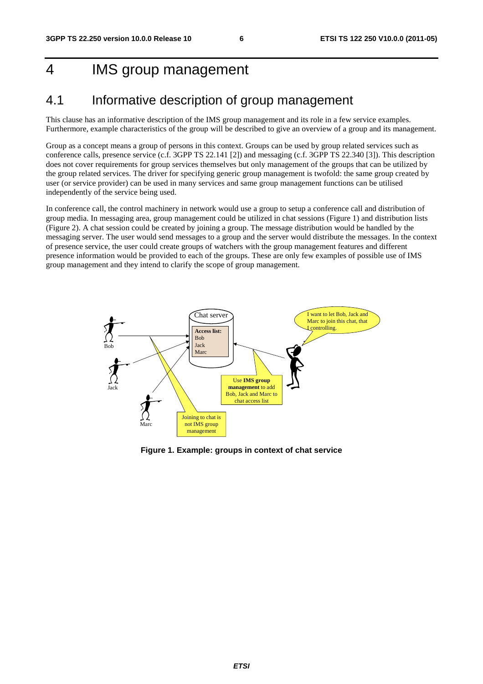# 4 IMS group management

### 4.1 Informative description of group management

This clause has an informative description of the IMS group management and its role in a few service examples. Furthermore, example characteristics of the group will be described to give an overview of a group and its management.

Group as a concept means a group of persons in this context. Groups can be used by group related services such as conference calls, presence service (c.f. 3GPP TS 22.141 [2]) and messaging (c.f. 3GPP TS 22.340 [3]). This description does not cover requirements for group services themselves but only management of the groups that can be utilized by the group related services. The driver for specifying generic group management is twofold: the same group created by user (or service provider) can be used in many services and same group management functions can be utilised independently of the service being used.

In conference call, the control machinery in network would use a group to setup a conference call and distribution of group media. In messaging area, group management could be utilized in chat sessions (Figure 1) and distribution lists (Figure 2). A chat session could be created by joining a group. The message distribution would be handled by the messaging server. The user would send messages to a group and the server would distribute the messages. In the context of presence service, the user could create groups of watchers with the group management features and different presence information would be provided to each of the groups. These are only few examples of possible use of IMS group management and they intend to clarify the scope of group management.



**Figure 1. Example: groups in context of chat service**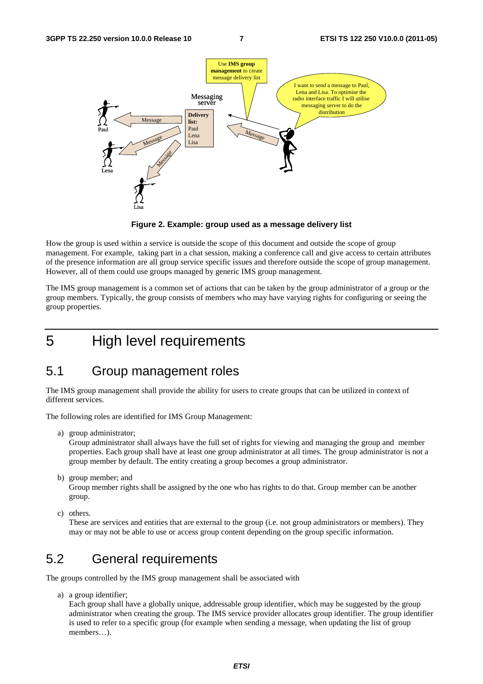

**Figure 2. Example: group used as a message delivery list** 

How the group is used within a service is outside the scope of this document and outside the scope of group management. For example, taking part in a chat session, making a conference call and give access to certain attributes of the presence information are all group service specific issues and therefore outside the scope of group management. However, all of them could use groups managed by generic IMS group management.

The IMS group management is a common set of actions that can be taken by the group administrator of a group or the group members. Typically, the group consists of members who may have varying rights for configuring or seeing the group properties.

# 5 High level requirements

#### 5.1 Group management roles

The IMS group management shall provide the ability for users to create groups that can be utilized in context of different services.

The following roles are identified for IMS Group Management:

a) group administrator;

Group administrator shall always have the full set of rights for viewing and managing the group and member properties. Each group shall have at least one group administrator at all times. The group administrator is not a group member by default. The entity creating a group becomes a group administrator.

b) group member; and

Group member rights shall be assigned by the one who has rights to do that. Group member can be another group.

c) others.

These are services and entities that are external to the group (i.e. not group administrators or members). They may or may not be able to use or access group content depending on the group specific information.

### 5.2 General requirements

The groups controlled by the IMS group management shall be associated with

a) a group identifier;

Each group shall have a globally unique, addressable group identifier, which may be suggested by the group administrator when creating the group. The IMS service provider allocates group identifier. The group identifier is used to refer to a specific group (for example when sending a message, when updating the list of group members…).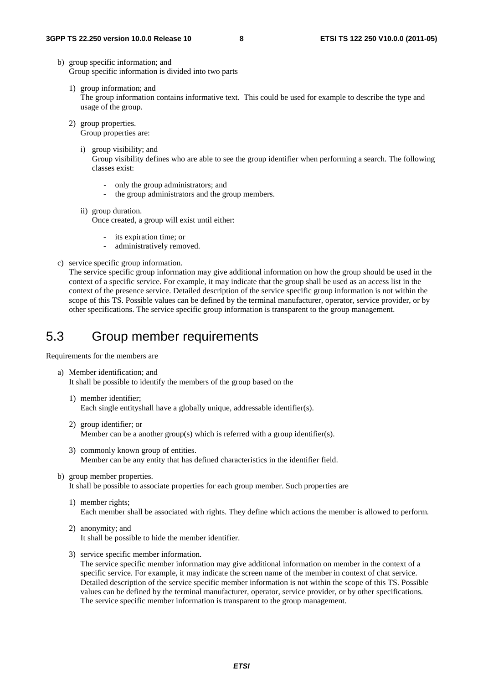- b) group specific information; and Group specific information is divided into two parts
	- 1) group information; and The group information contains informative text. This could be used for example to describe the type and usage of the group.
	- 2) group properties. Group properties are:
		- i) group visibility; and Group visibility defines who are able to see the group identifier when performing a search. The following classes exist:
			- only the group administrators; and
			- the group administrators and the group members.
		- ii) group duration. Once created, a group will exist until either:
			- its expiration time; or
			- administratively removed.
- c) service specific group information.

The service specific group information may give additional information on how the group should be used in the context of a specific service. For example, it may indicate that the group shall be used as an access list in the context of the presence service. Detailed description of the service specific group information is not within the scope of this TS. Possible values can be defined by the terminal manufacturer, operator, service provider, or by other specifications. The service specific group information is transparent to the group management.

### 5.3 Group member requirements

Requirements for the members are

- a) Member identification; and It shall be possible to identify the members of the group based on the
	- 1) member identifier; Each single entityshall have a globally unique, addressable identifier(s).
	- 2) group identifier; or Member can be a another group(s) which is referred with a group identifier(s).
	- 3) commonly known group of entities. Member can be any entity that has defined characteristics in the identifier field.
- b) group member properties.

It shall be possible to associate properties for each group member. Such properties are

- 1) member rights; Each member shall be associated with rights. They define which actions the member is allowed to perform.
- 2) anonymity; and It shall be possible to hide the member identifier.
- 3) service specific member information.

The service specific member information may give additional information on member in the context of a specific service. For example, it may indicate the screen name of the member in context of chat service. Detailed description of the service specific member information is not within the scope of this TS. Possible values can be defined by the terminal manufacturer, operator, service provider, or by other specifications. The service specific member information is transparent to the group management.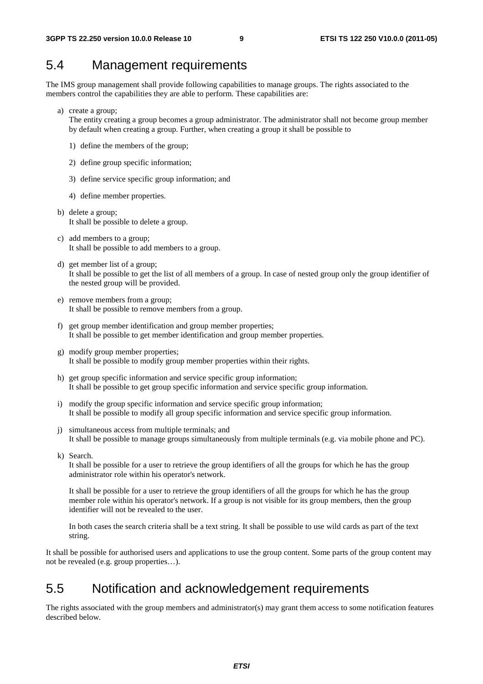#### 5.4 Management requirements

The IMS group management shall provide following capabilities to manage groups. The rights associated to the members control the capabilities they are able to perform. These capabilities are:

a) create a group;

The entity creating a group becomes a group administrator. The administrator shall not become group member by default when creating a group. Further, when creating a group it shall be possible to

- 1) define the members of the group;
- 2) define group specific information;
- 3) define service specific group information; and
- 4) define member properties.
- b) delete a group; It shall be possible to delete a group.
- c) add members to a group; It shall be possible to add members to a group.
- d) get member list of a group; It shall be possible to get the list of all members of a group. In case of nested group only the group identifier of the nested group will be provided.
- e) remove members from a group; It shall be possible to remove members from a group.
- f) get group member identification and group member properties; It shall be possible to get member identification and group member properties.
- g) modify group member properties; It shall be possible to modify group member properties within their rights.
- h) get group specific information and service specific group information; It shall be possible to get group specific information and service specific group information.
- i) modify the group specific information and service specific group information; It shall be possible to modify all group specific information and service specific group information.
- j) simultaneous access from multiple terminals; and It shall be possible to manage groups simultaneously from multiple terminals (e.g. via mobile phone and PC).
- k) Search.

It shall be possible for a user to retrieve the group identifiers of all the groups for which he has the group administrator role within his operator's network.

It shall be possible for a user to retrieve the group identifiers of all the groups for which he has the group member role within his operator's network. If a group is not visible for its group members, then the group identifier will not be revealed to the user.

In both cases the search criteria shall be a text string. It shall be possible to use wild cards as part of the text string.

It shall be possible for authorised users and applications to use the group content. Some parts of the group content may not be revealed (e.g. group properties…).

#### 5.5 Notification and acknowledgement requirements

The rights associated with the group members and administrator(s) may grant them access to some notification features described below.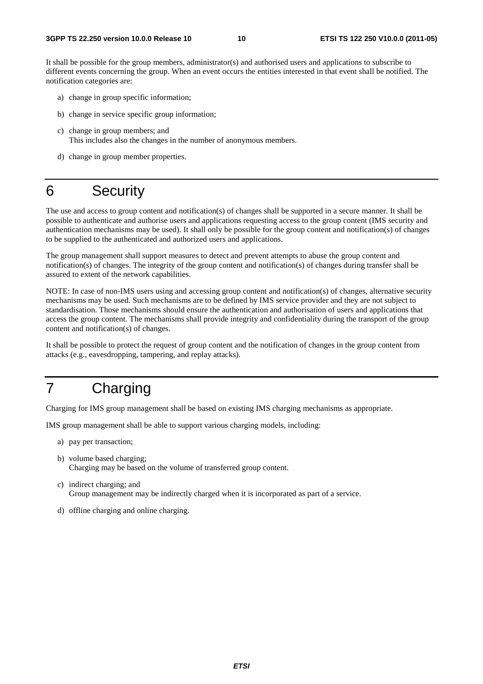It shall be possible for the group members, administrator(s) and authorised users and applications to subscribe to different events concerning the group. When an event occurs the entities interested in that event shall be notified. The notification categories are:

- a) change in group specific information;
- b) change in service specific group information;
- c) change in group members; and This includes also the changes in the number of anonymous members.
- d) change in group member properties.

# 6 Security

The use and access to group content and notification(s) of changes shall be supported in a secure manner. It shall be possible to authenticate and authorise users and applications requesting access to the group content (IMS security and authentication mechanisms may be used). It shall only be possible for the group content and notification(s) of changes to be supplied to the authenticated and authorized users and applications.

The group management shall support measures to detect and prevent attempts to abuse the group content and notification(s) of changes. The integrity of the group content and notification(s) of changes during transfer shall be assured to extent of the network capabilities.

NOTE: In case of non-IMS users using and accessing group content and notification(s) of changes, alternative security mechanisms may be used. Such mechanisms are to be defined by IMS service provider and they are not subject to standardisation. Those mechanisms should ensure the authentication and authorisation of users and applications that access the group content. The mechanisms shall provide integrity and confidentiality during the transport of the group content and notification(s) of changes.

It shall be possible to protect the request of group content and the notification of changes in the group content from attacks (e.g., eavesdropping, tampering, and replay attacks).

# 7 Charging

Charging for IMS group management shall be based on existing IMS charging mechanisms as appropriate.

IMS group management shall be able to support various charging models, including:

- a) pay per transaction;
- b) volume based charging; Charging may be based on the volume of transferred group content.
- c) indirect charging; and Group management may be indirectly charged when it is incorporated as part of a service.
- d) offline charging and online charging.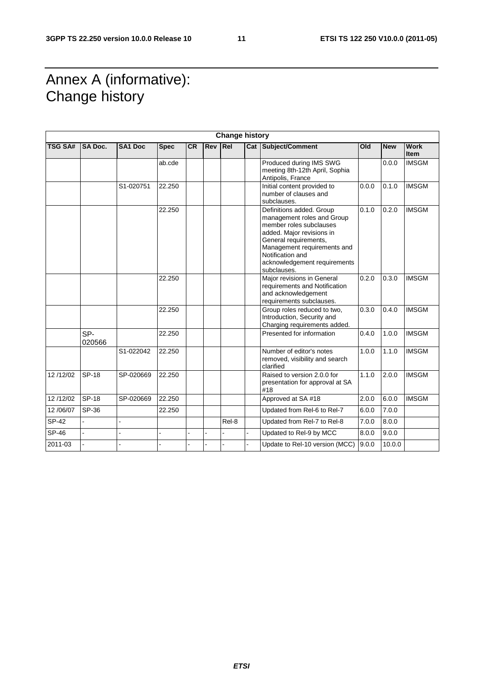# Annex A (informative): Change history

| <b>Change history</b> |                |                |             |           |            |            |                                                                                                                                                                                                                                           |       |            |                     |
|-----------------------|----------------|----------------|-------------|-----------|------------|------------|-------------------------------------------------------------------------------------------------------------------------------------------------------------------------------------------------------------------------------------------|-------|------------|---------------------|
| <b>TSG SA#</b>        | <b>SA Doc.</b> | <b>SA1 Doc</b> | <b>Spec</b> | <b>CR</b> | <b>Rev</b> | <b>Rel</b> | Cat Subject/Comment                                                                                                                                                                                                                       | Old   | <b>New</b> | <b>Work</b><br>Item |
|                       |                |                | ab.cde      |           |            |            | Produced during IMS SWG<br>meeting 8th-12th April, Sophia<br>Antipolis, France                                                                                                                                                            |       | 0.0.0      | <b>IMSGM</b>        |
|                       |                | S1-020751      | 22.250      |           |            |            | Initial content provided to<br>number of clauses and<br>subclauses.                                                                                                                                                                       | 0.0.0 | 0.1.0      | <b>IMSGM</b>        |
|                       |                |                | 22.250      |           |            |            | Definitions added. Group<br>management roles and Group<br>member roles subclauses<br>added. Major revisions in<br>General requirements,<br>Management requirements and<br>Notification and<br>acknowledgement requirements<br>subclauses. | 0.1.0 | 0.2.0      | <b>IMSGM</b>        |
|                       |                |                | 22.250      |           |            |            | Major revisions in General<br>requirements and Notification<br>and acknowledgement<br>requirements subclauses.                                                                                                                            | 0.2.0 | 0.3.0      | <b>IMSGM</b>        |
|                       |                |                | 22.250      |           |            |            | Group roles reduced to two,<br>Introduction, Security and<br>Charging requirements added.                                                                                                                                                 | 0.3.0 | 0.4.0      | <b>IMSGM</b>        |
|                       | SP-<br>020566  |                | 22.250      |           |            |            | Presented for information                                                                                                                                                                                                                 | 0.4.0 | 1.0.0      | <b>IMSGM</b>        |
|                       |                | S1-022042      | 22.250      |           |            |            | Number of editor's notes<br>removed, visibility and search<br>clarified                                                                                                                                                                   | 1.0.0 | 1.1.0      | <b>IMSGM</b>        |
| 12/12/02              | SP-18          | SP-020669      | 22.250      |           |            |            | Raised to version 2.0.0 for<br>presentation for approval at SA<br>#18                                                                                                                                                                     | 1.1.0 | 2.0.0      | <b>IMSGM</b>        |
| 12/12/02              | <b>SP-18</b>   | SP-020669      | 22.250      |           |            |            | Approved at SA #18                                                                                                                                                                                                                        | 2.0.0 | 6.0.0      | <b>IMSGM</b>        |
| 12/06/07              | SP-36          |                | 22.250      |           |            |            | Updated from Rel-6 to Rel-7                                                                                                                                                                                                               | 6.0.0 | 7.0.0      |                     |
| <b>SP-42</b>          |                |                |             |           |            | Rel-8      | Updated from Rel-7 to Rel-8                                                                                                                                                                                                               | 7.0.0 | 8.0.0      |                     |
| SP-46                 |                |                |             |           |            |            | Updated to Rel-9 by MCC                                                                                                                                                                                                                   | 8.0.0 | 9.0.0      |                     |
| 2011-03               |                |                |             |           |            |            | Update to Rel-10 version (MCC)                                                                                                                                                                                                            | 9.0.0 | 10.0.0     |                     |